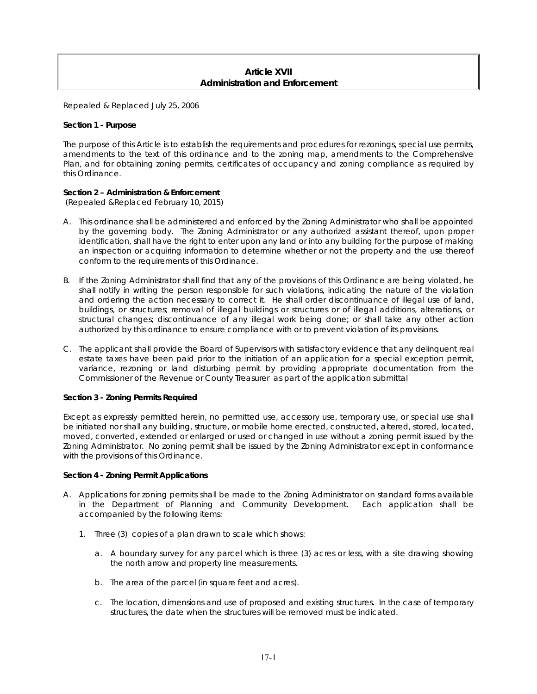# **Article XVII Administration and Enforcement**

Repealed & Replaced July 25, 2006

## **Section 1 - Purpose**

The purpose of this Article is to establish the requirements and procedures for rezonings, special use permits, amendments to the text of this ordinance and to the zoning map, amendments to the Comprehensive Plan, and for obtaining zoning permits, certificates of occupancy and zoning compliance as required by this Ordinance.

# **Section 2 – Administration & Enforcement**

(Repealed &Replaced February 10, 2015)

- A. This ordinance shall be administered and enforced by the Zoning Administrator who shall be appointed by the governing body. The Zoning Administrator or any authorized assistant thereof, upon proper identification, shall have the right to enter upon any land or into any building for the purpose of making an inspection or acquiring information to determine whether or not the property and the use thereof conform to the requirements of this Ordinance.
- B. If the Zoning Administrator shall find that any of the provisions of this Ordinance are being violated, he shall notify in writing the person responsible for such violations, indicating the nature of the violation and ordering the action necessary to correct it. He shall order discontinuance of illegal use of land, buildings, or structures; removal of illegal buildings or structures or of illegal additions, alterations, or structural changes; discontinuance of any illegal work being done; or shall take any other action authorized by this ordinance to ensure compliance with or to prevent violation of its provisions.
- C. The applicant shall provide the Board of Supervisors with satisfactory evidence that any delinquent real estate taxes have been paid prior to the initiation of an application for a special exception permit, variance, rezoning or land disturbing permit by providing appropriate documentation from the Commissioner of the Revenue or County Treasurer as part of the application submittal

# **Section 3 - Zoning Permits Required**

Except as expressly permitted herein, no permitted use, accessory use, temporary use, or special use shall be initiated nor shall any building, structure, or mobile home erected, constructed, altered, stored, located, moved, converted, extended or enlarged or used or changed in use without a zoning permit issued by the Zoning Administrator. No zoning permit shall be issued by the Zoning Administrator except in conformance with the provisions of this Ordinance.

# **Section 4 - Zoning Permit Applications**

- A. Applications for zoning permits shall be made to the Zoning Administrator on standard forms available in the Department of Planning and Community Development. Each application shall be accompanied by the following items:
	- 1. Three (3) copies of a plan drawn to scale which shows:
		- a. A boundary survey for any parcel which is three (3) acres or less, with a site drawing showing the north arrow and property line measurements.
		- b. The area of the parcel (in square feet and acres).
		- c. The location, dimensions and use of proposed and existing structures. In the case of temporary structures, the date when the structures will be removed must be indicated.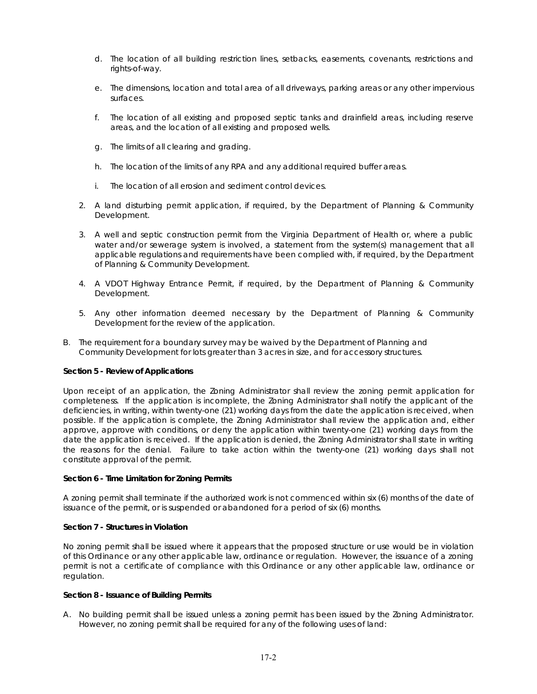- d. The location of all building restriction lines, setbacks, easements, covenants, restrictions and rights-of-way.
- e. The dimensions, location and total area of all driveways, parking areas or any other impervious surfaces.
- f. The location of all existing and proposed septic tanks and drainfield areas, including reserve areas, and the location of all existing and proposed wells.
- g. The limits of all clearing and grading.
- h. The location of the limits of any RPA and any additional required buffer areas.
- i. The location of all erosion and sediment control devices.
- 2. A land disturbing permit application, if required, by the Department of Planning & Community Development.
- 3. A well and septic construction permit from the Virginia Department of Health or, where a public water and/or sewerage system is involved, a statement from the system(s) management that all applicable regulations and requirements have been complied with, if required, by the Department of Planning & Community Development.
- 4. A VDOT Highway Entrance Permit, if required, by the Department of Planning & Community Development.
- 5. Any other information deemed necessary by the Department of Planning & Community Development for the review of the application.
- B. The requirement for a boundary survey may be waived by the Department of Planning and Community Development for lots greater than 3 acres in size, and for accessory structures.

### **Section 5 - Review of Applications**

Upon receipt of an application, the Zoning Administrator shall review the zoning permit application for completeness. If the application is incomplete, the Zoning Administrator shall notify the applicant of the deficiencies, in writing, within twenty-one (21) working days from the date the application is received, when possible. If the application is complete, the Zoning Administrator shall review the application and, either approve, approve with conditions, or deny the application within twenty-one (21) working days from the date the application is received. If the application is denied, the Zoning Administrator shall state in writing the reasons for the denial. Failure to take action within the twenty-one (21) working days shall not constitute approval of the permit.

### **Section 6 - Time Limitation for Zoning Permits**

A zoning permit shall terminate if the authorized work is not commenced within six (6) months of the date of issuance of the permit, or is suspended or abandoned for a period of six (6) months.

### **Section 7 - Structures in Violation**

No zoning permit shall be issued where it appears that the proposed structure or use would be in violation of this Ordinance or any other applicable law, ordinance or regulation. However, the issuance of a zoning permit is not a certificate of compliance with this Ordinance or any other applicable law, ordinance or regulation.

### **Section 8 - Issuance of Building Permits**

A. No building permit shall be issued unless a zoning permit has been issued by the Zoning Administrator. However, no zoning permit shall be required for any of the following uses of land: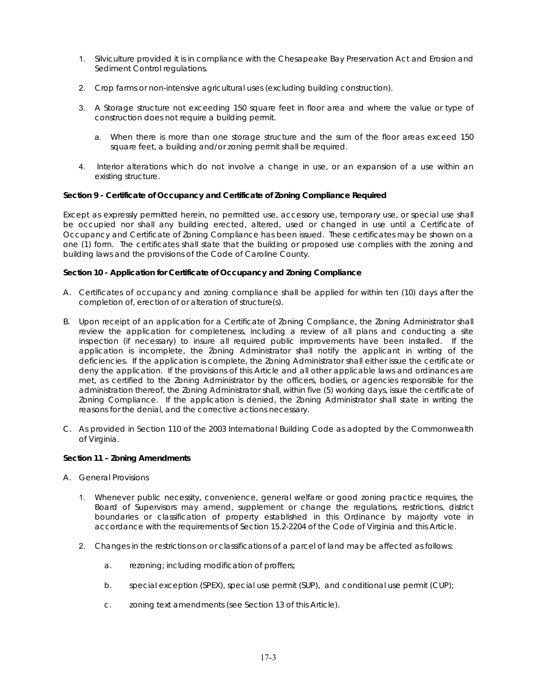- 1. Silviculture provided it is in compliance with the Chesapeake Bay Preservation Act and Erosion and Sediment Control regulations.
- 2. Crop farms or non-intensive agricultural uses (excluding building construction).
- 3. A Storage structure not exceeding 150 square feet in floor area and where the value or type of construction does not require a building permit.
	- a. When there is more than one storage structure and the sum of the floor areas exceed 150 square feet, a building and/or zoning permit shall be required.
- 4. Interior alterations which do not involve a change in use, or an expansion of a use within an existing structure.

### **Section 9 - Certificate of Occupancy and Certificate of Zoning Compliance Required**

Except as expressly permitted herein, no permitted use, accessory use, temporary use, or special use shall be occupied nor shall any building erected, altered, used or changed in use until a Certificate of Occupancy and Certificate of Zoning Compliance has been issued. These certificates may be shown on a one (1) form. The certificates shall state that the building or proposed use complies with the zoning and building laws and the provisions of the Code of Caroline County.

### **Section 10 - Application for Certificate of Occupancy and Zoning Compliance**

- A. Certificates of occupancy and zoning compliance shall be applied for within ten (10) days after the completion of, erection of or alteration of structure(s).
- B. Upon receipt of an application for a Certificate of Zoning Compliance, the Zoning Administrator shall review the application for completeness, including a review of all plans and conducting a site inspection (if necessary) to insure all required public improvements have been installed. If the application is incomplete, the Zoning Administrator shall notify the applicant in writing of the deficiencies. If the application is complete, the Zoning Administrator shall either issue the certificate or deny the application. If the provisions of this Article and all other applicable laws and ordinances are met, as certified to the Zoning Administrator by the officers, bodies, or agencies responsible for the administration thereof, the Zoning Administrator shall, within five (5) working days, issue the certificate of Zoning Compliance. If the application is denied, the Zoning Administrator shall state in writing the reasons for the denial, and the corrective actions necessary.
- C. As provided in Section 110 of the 2003 International Building Code as adopted by the Commonwealth of Virginia.

# **Section 11 – Zoning Amendments**

- A. General Provisions
	- 1. Whenever public necessity, convenience, general welfare or good zoning practice requires, the Board of Supervisors may amend, supplement or change the regulations, restrictions, district boundaries or classification of property established in this Ordinance by majority vote in accordance with the requirements of Section 15.2-2204 of the Code of Virginia and this Article.
	- 2. Changes in the restrictions on or classifications of a parcel of land may be affected as follows:
		- a. rezoning; including modification of proffers;
		- b. special exception (SPEX), special use permit (SUP), and conditional use permit (CUP);
		- c. zoning text amendments (see Section 13 of this Article).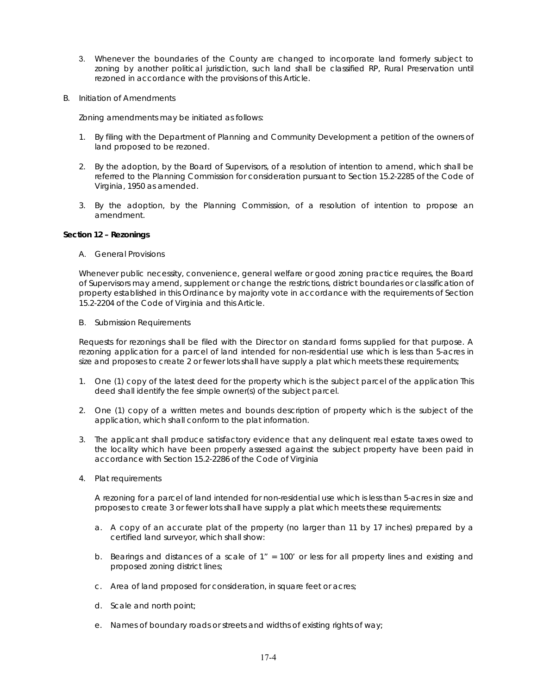- 3. Whenever the boundaries of the County are changed to incorporate land formerly subject to zoning by another political jurisdiction, such land shall be classified RP, Rural Preservation until rezoned in accordance with the provisions of this Article.
- B. Initiation of Amendments

Zoning amendments may be initiated as follows:

- 1. By filing with the Department of Planning and Community Development a petition of the owners of land proposed to be rezoned.
- 2. By the adoption, by the Board of Supervisors, of a resolution of intention to amend, which shall be referred to the Planning Commission for consideration pursuant to Section 15.2-2285 of the Code of Virginia, 1950 as amended.
- 3. By the adoption, by the Planning Commission, of a resolution of intention to propose an amendment.

### **Section 12 – Rezonings**

A. General Provisions

Whenever public necessity, convenience, general welfare or good zoning practice requires, the Board of Supervisors may amend, supplement or change the restrictions, district boundaries or classification of property established in this Ordinance by majority vote in accordance with the requirements of Section 15.2-2204 of the Code of Virginia and this Article.

B. Submission Requirements

Requests for rezonings shall be filed with the Director on standard forms supplied for that purpose. A rezoning application for a parcel of land intended for non-residential use which is less than 5-acres in size and proposes to create 2 or fewer lots shall have supply a plat which meets these requirements;

- 1. One (1) copy of the latest deed for the property which is the subject parcel of the application This deed shall identify the fee simple owner(s) of the subject parcel.
- 2. One (1) copy of a written metes and bounds description of property which is the subject of the application, which shall conform to the plat information.
- 3. The applicant shall produce satisfactory evidence that any delinquent real estate taxes owed to the locality which have been properly assessed against the subject property have been paid in accordance with Section 15.2-2286 of the Code of Virginia
- 4. Plat requirements

A rezoning for a parcel of land intended for non-residential use which is less than 5-acres in size and proposes to create 3 or fewer lots shall have supply a plat which meets these requirements:

- a. A copy of an accurate plat of the property (no larger than 11 by 17 inches) prepared by a certified land surveyor, which shall show:
- b. Bearings and distances of a scale of 1" = 100' or less for all property lines and existing and proposed zoning district lines;
- c. Area of land proposed for consideration, in square feet or acres;
- d. Scale and north point;
- e. Names of boundary roads or streets and widths of existing rights of way;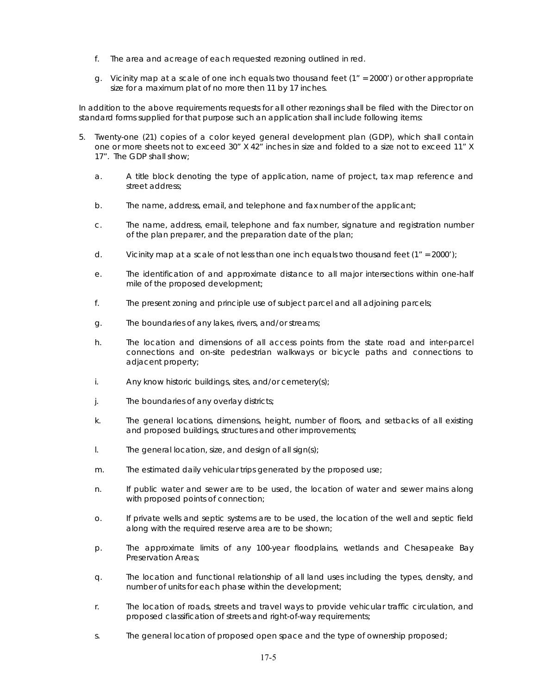- f. The area and acreage of each requested rezoning outlined in red.
- g. Vicinity map at a scale of one inch equals two thousand feet (1" = 2000') or other appropriate size for a maximum plat of no more then 11 by 17 inches.

In addition to the above requirements requests for all other rezonings shall be filed with the Director on standard forms supplied for that purpose such an application shall include following items:

- 5. Twenty-one (21) copies of a color keyed general development plan (GDP), which shall contain one or more sheets not to exceed 30" X 42" inches in size and folded to a size not to exceed 11" X 17". The GDP shall show;
	- a. A title block denoting the type of application, name of project, tax map reference and street address;
	- b. The name, address, email, and telephone and fax number of the applicant;
	- c. The name, address, email, telephone and fax number, signature and registration number of the plan preparer, and the preparation date of the plan;
	- d. Vicinity map at a scale of not less than one inch equals two thousand feet  $(1'' = 2000')$ ;
	- e. The identification of and approximate distance to all major intersections within one-half mile of the proposed development;
	- f. The present zoning and principle use of subject parcel and all adjoining parcels;
	- g. The boundaries of any lakes, rivers, and/or streams;
	- h. The location and dimensions of all access points from the state road and inter-parcel connections and on-site pedestrian walkways or bicycle paths and connections to adjacent property;
	- i. Any know historic buildings, sites, and/or cemetery(s);
	- j. The boundaries of any overlay districts;
	- k. The general locations, dimensions, height, number of floors, and setbacks of all existing and proposed buildings, structures and other improvements;
	- $\blacksquare$  The general location, size, and design of all sign(s);
	- m. The estimated daily vehicular trips generated by the proposed use;
	- n. If public water and sewer are to be used, the location of water and sewer mains along with proposed points of connection;
	- o. If private wells and septic systems are to be used, the location of the well and septic field along with the required reserve area are to be shown;
	- p. The approximate limits of any 100-year floodplains, wetlands and Chesapeake Bay Preservation Areas;
	- q. The location and functional relationship of all land uses including the types, density, and number of units for each phase within the development;
	- r. The location of roads, streets and travel ways to provide vehicular traffic circulation, and proposed classification of streets and right-of-way requirements;
	- s. The general location of proposed open space and the type of ownership proposed;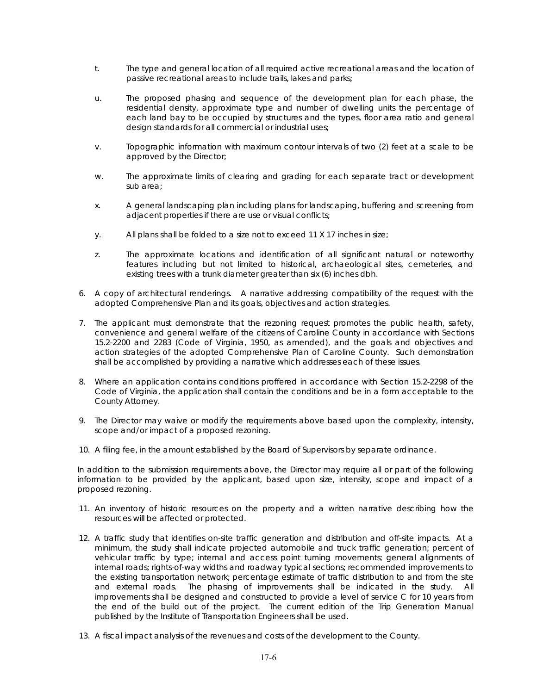- t. The type and general location of all required active recreational areas and the location of passive recreational areas to include trails, lakes and parks;
- u. The proposed phasing and sequence of the development plan for each phase, the residential density, approximate type and number of dwelling units the percentage of each land bay to be occupied by structures and the types, floor area ratio and general design standards for all commercial or industrial uses;
- v. Topographic information with maximum contour intervals of two (2) feet at a scale to be approved by the Director;
- w. The approximate limits of clearing and grading for each separate tract or development sub area;
- x. A general landscaping plan including plans for landscaping, buffering and screening from adjacent properties if there are use or visual conflicts;
- y. All plans shall be folded to a size not to exceed 11 X 17 inches in size;
- z. The approximate locations and identification of all significant natural or noteworthy features including but not limited to historical, archaeological sites, cemeteries, and existing trees with a trunk diameter greater than six (6) inches dbh.
- 6. A copy of architectural renderings. A narrative addressing compatibility of the request with the adopted Comprehensive Plan and its goals, objectives and action strategies.
- 7. The applicant must demonstrate that the rezoning request promotes the public health, safety, convenience and general welfare of the citizens of Caroline County in accordance with Sections 15.2-2200 and 2283 (Code of Virginia, 1950, as amended), and the goals and objectives and action strategies of the adopted Comprehensive Plan of Caroline County. Such demonstration shall be accomplished by providing a narrative which addresses each of these issues.
- 8. Where an application contains conditions proffered in accordance with Section 15.2-2298 of the Code of Virginia, the application shall contain the conditions and be in a form acceptable to the County Attorney.
- 9. The Director may waive or modify the requirements above based upon the complexity, intensity, scope and/or impact of a proposed rezoning.
- 10. A filing fee, in the amount established by the Board of Supervisors by separate ordinance.

In addition to the submission requirements above, the Director may require all or part of the following information to be provided by the applicant, based upon size, intensity, scope and impact of a proposed rezoning.

- 11. An inventory of historic resources on the property and a written narrative describing how the resources will be affected or protected.
- 12. A traffic study that identifies on-site traffic generation and distribution and off-site impacts. At a minimum, the study shall indicate projected automobile and truck traffic generation; percent of vehicular traffic by type; internal and access point turning movements; general alignments of internal roads; rights-of-way widths and roadway typical sections; recommended improvements to the existing transportation network; percentage estimate of traffic distribution to and from the site and external roads. The phasing of improvements shall be indicated in the study. All improvements shall be designed and constructed to provide a level of service C for 10 years from the end of the build out of the project. The current edition of the Trip Generation Manual published by the Institute of Transportation Engineers shall be used.
- 13. A fiscal impact analysis of the revenues and costs of the development to the County.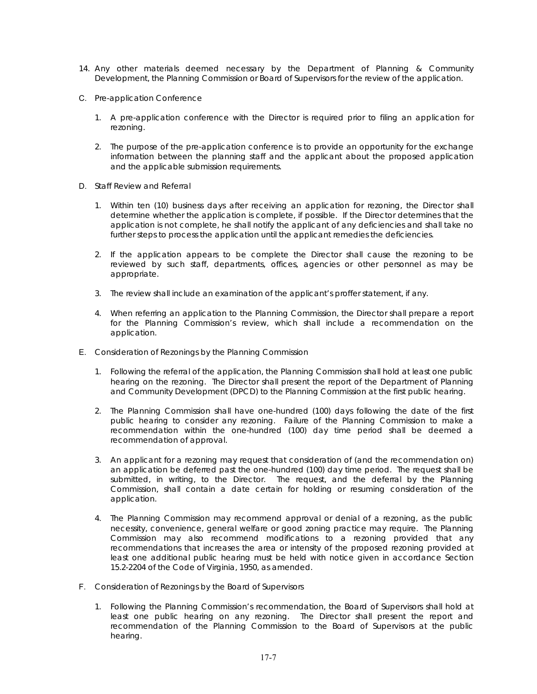- 14. Any other materials deemed necessary by the Department of Planning & Community Development, the Planning Commission or Board of Supervisors for the review of the application.
- C. Pre-application Conference
	- 1. A pre-application conference with the Director is required prior to filing an application for rezoning.
	- 2. The purpose of the pre-application conference is to provide an opportunity for the exchange information between the planning staff and the applicant about the proposed application and the applicable submission requirements.
- D. Staff Review and Referral
	- 1. Within ten (10) business days after receiving an application for rezoning, the Director shall determine whether the application is complete, if possible. If the Director determines that the application is not complete, he shall notify the applicant of any deficiencies and shall take no further steps to process the application until the applicant remedies the deficiencies.
	- 2. If the application appears to be complete the Director shall cause the rezoning to be reviewed by such staff, departments, offices, agencies or other personnel as may be appropriate.
	- 3. The review shall include an examination of the applicant's proffer statement, if any.
	- 4. When referring an application to the Planning Commission, the Director shall prepare a report for the Planning Commission's review, which shall include a recommendation on the application.
- E. Consideration of Rezonings by the Planning Commission
	- 1. Following the referral of the application, the Planning Commission shall hold at least one public hearing on the rezoning. The Director shall present the report of the Department of Planning and Community Development (DPCD) to the Planning Commission at the first public hearing.
	- 2. The Planning Commission shall have one-hundred (100) days following the date of the first public hearing to consider any rezoning. Failure of the Planning Commission to make a recommendation within the one-hundred (100) day time period shall be deemed a recommendation of approval.
	- 3. An applicant for a rezoning may request that consideration of (and the recommendation on) an application be deferred past the one-hundred (100) day time period. The request shall be submitted, in writing, to the Director. The request, and the deferral by the Planning Commission, shall contain a date certain for holding or resuming consideration of the application.
	- 4. The Planning Commission may recommend approval or denial of a rezoning, as the public necessity, convenience, general welfare or good zoning practice may require. The Planning Commission may also recommend modifications to a rezoning provided that any recommendations that increases the area or intensity of the proposed rezoning provided at least one additional public hearing must be held with notice given in accordance Section 15.2-2204 of the Code of Virginia, 1950, as amended.
- F. Consideration of Rezonings by the Board of Supervisors
	- 1. Following the Planning Commission's recommendation, the Board of Supervisors shall hold at least one public hearing on any rezoning. The Director shall present the report and recommendation of the Planning Commission to the Board of Supervisors at the public hearing.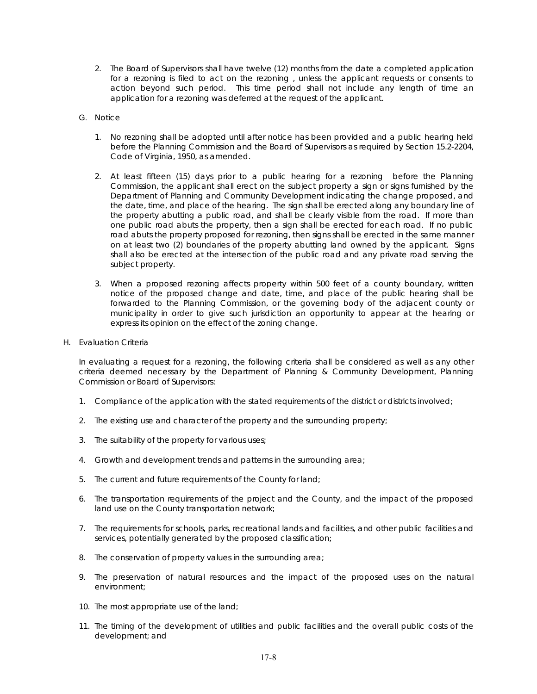- 2. The Board of Supervisors shall have twelve (12) months from the date a completed application for a rezoning is filed to act on the rezoning , unless the applicant requests or consents to action beyond such period. This time period shall not include any length of time an application for a rezoning was deferred at the request of the applicant.
- G. Notice
	- 1. No rezoning shall be adopted until after notice has been provided and a public hearing held before the Planning Commission and the Board of Supervisors as required by Section 15.2-2204, Code of Virginia, 1950, as amended.
	- 2. At least fifteen (15) days prior to a public hearing for a rezoning before the Planning Commission, the applicant shall erect on the subject property a sign or signs furnished by the Department of Planning and Community Development indicating the change proposed, and the date, time, and place of the hearing. The sign shall be erected along any boundary line of the property abutting a public road, and shall be clearly visible from the road. If more than one public road abuts the property, then a sign shall be erected for each road. If no public road abuts the property proposed for rezoning, then signs shall be erected in the same manner on at least two (2) boundaries of the property abutting land owned by the applicant. Signs shall also be erected at the intersection of the public road and any private road serving the subject property.
	- 3. When a proposed rezoning affects property within 500 feet of a county boundary, written notice of the proposed change and date, time, and place of the public hearing shall be forwarded to the Planning Commission, or the governing body of the adjacent county or municipality in order to give such jurisdiction an opportunity to appear at the hearing or express its opinion on the effect of the zoning change.
- H. Evaluation Criteria

In evaluating a request for a rezoning, the following criteria shall be considered as well as any other criteria deemed necessary by the Department of Planning & Community Development, Planning Commission or Board of Supervisors:

- 1. Compliance of the application with the stated requirements of the district or districts involved;
- 2. The existing use and character of the property and the surrounding property;
- 3. The suitability of the property for various uses;
- 4. Growth and development trends and patterns in the surrounding area;
- 5. The current and future requirements of the County for land;
- 6. The transportation requirements of the project and the County, and the impact of the proposed land use on the County transportation network;
- 7. The requirements for schools, parks, recreational lands and facilities, and other public facilities and services, potentially generated by the proposed classification;
- 8. The conservation of property values in the surrounding area;
- 9. The preservation of natural resources and the impact of the proposed uses on the natural environment;
- 10. The most appropriate use of the land;
- 11. The timing of the development of utilities and public facilities and the overall public costs of the development; and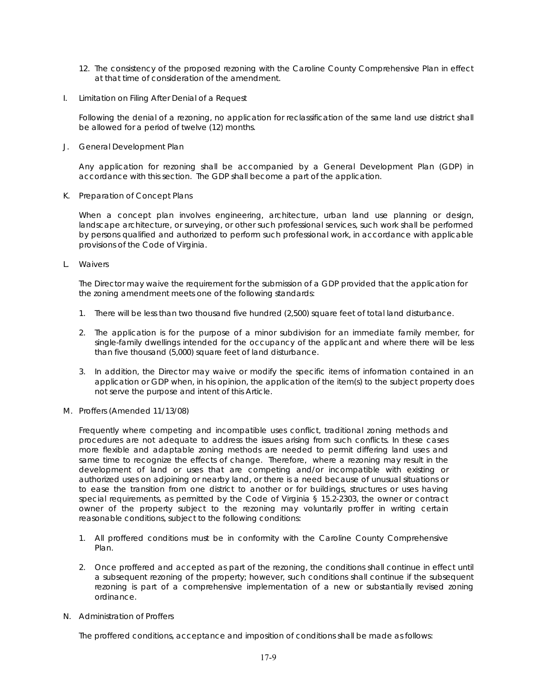- 12. The consistency of the proposed rezoning with the Caroline County Comprehensive Plan in effect at that time of consideration of the amendment.
- I. Limitation on Filing After Denial of a Request

Following the denial of a rezoning, no application for reclassification of the same land use district shall be allowed for a period of twelve (12) months.

J. General Development Plan

Any application for rezoning shall be accompanied by a General Development Plan (GDP) in accordance with this section. The GDP shall become a part of the application.

K. Preparation of Concept Plans

When a concept plan involves engineering, architecture, urban land use planning or design, landscape architecture, or surveying, or other such professional services, such work shall be performed by persons qualified and authorized to perform such professional work, in accordance with applicable provisions of the Code of Virginia.

L. Waivers

The Director may waive the requirement for the submission of a GDP provided that the application for the zoning amendment meets one of the following standards:

- 1. There will be less than two thousand five hundred (2,500) square feet of total land disturbance.
- 2. The application is for the purpose of a minor subdivision for an immediate family member, for single-family dwellings intended for the occupancy of the applicant and where there will be less than five thousand (5,000) square feet of land disturbance.
- 3. In addition, the Director may waive or modify the specific items of information contained in an application or GDP when, in his opinion, the application of the item(s) to the subject property does not serve the purpose and intent of this Article.
- M. Proffers (Amended 11/13/08)

Frequently where competing and incompatible uses conflict, traditional zoning methods and procedures are not adequate to address the issues arising from such conflicts. In these cases more flexible and adaptable zoning methods are needed to permit differing land uses and same time to recognize the effects of change. Therefore, where a rezoning may result in the development of land or uses that are competing and/or incompatible with existing or authorized uses on adjoining or nearby land, or there is a need because of unusual situations or to ease the transition from one district to another or for buildings, structures or uses having special requirements, as permitted by the Code of Virginia § 15.2-2303, the owner or contract owner of the property subject to the rezoning may voluntarily proffer in writing certain reasonable conditions, subject to the following conditions:

- 1. All proffered conditions must be in conformity with the Caroline County Comprehensive Plan.
- 2. Once proffered and accepted as part of the rezoning, the conditions shall continue in effect until a subsequent rezoning of the property; however, such conditions shall continue if the subsequent rezoning is part of a comprehensive implementation of a new or substantially revised zoning ordinance.
- N. Administration of Proffers

The proffered conditions, acceptance and imposition of conditions shall be made as follows: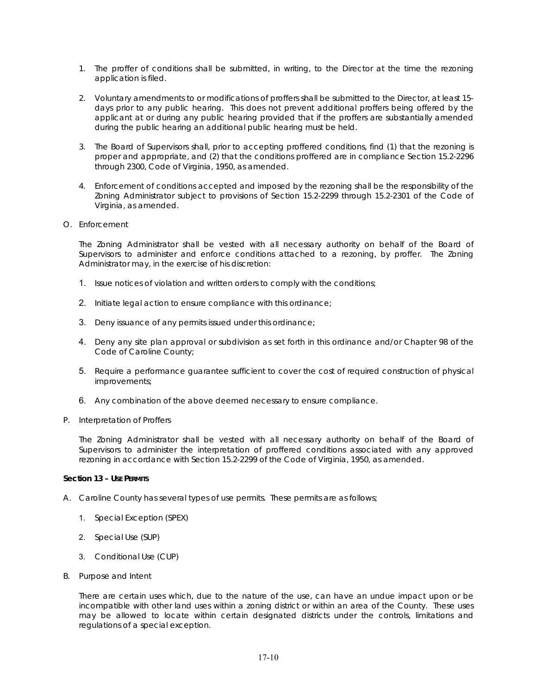- 1. The proffer of conditions shall be submitted, in writing, to the Director at the time the rezoning application is filed.
- 2. Voluntary amendments to or modifications of proffers shall be submitted to the Director, at least 15 days prior to any public hearing. This does not prevent additional proffers being offered by the applicant at or during any public hearing provided that if the proffers are substantially amended during the public hearing an additional public hearing must be held.
- 3. The Board of Supervisors shall, prior to accepting proffered conditions, find (1) that the rezoning is proper and appropriate, and (2) that the conditions proffered are in compliance Section 15.2-2296 through 2300, Code of Virginia, 1950, as amended.
- 4. Enforcement of conditions accepted and imposed by the rezoning shall be the responsibility of the Zoning Administrator subject to provisions of Section 15.2-2299 through 15.2-2301 of the Code of Virginia, as amended.
- O. Enforcement

The Zoning Administrator shall be vested with all necessary authority on behalf of the Board of Supervisors to administer and enforce conditions attached to a rezoning, by proffer. The Zoning Administrator may, in the exercise of his discretion:

- 1. Issue notices of violation and written orders to comply with the conditions;
- 2. Initiate legal action to ensure compliance with this ordinance;
- 3. Deny issuance of any permits issued under this ordinance;
- 4. Deny any site plan approval or subdivision as set forth in this ordinance and/or Chapter 98 of the Code of Caroline County;
- 5. Require a performance guarantee sufficient to cover the cost of required construction of physical improvements;
- 6. Any combination of the above deemed necessary to ensure compliance.
- P. Interpretation of Proffers

The Zoning Administrator shall be vested with all necessary authority on behalf of the Board of Supervisors to administer the interpretation of proffered conditions associated with any approved rezoning in accordance with Section 15.2-2299 of the Code of Virginia, 1950, as amended.

### **Section 13 – USE PERMITS**

- A. Caroline County has several types of use permits. These permits are as follows;
	- 1. Special Exception (SPEX)
	- 2. Special Use (SUP)
	- 3. Conditional Use (CUP)
- B. Purpose and Intent

There are certain uses which, due to the nature of the use, can have an undue impact upon or be incompatible with other land uses within a zoning district or within an area of the County. These uses may be allowed to locate within certain designated districts under the controls, limitations and regulations of a special exception.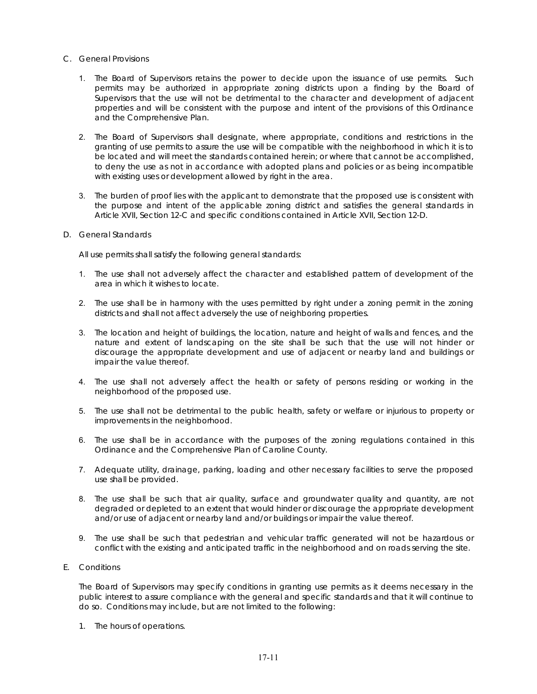### C. General Provisions

- 1. The Board of Supervisors retains the power to decide upon the issuance of use permits. Such permits may be authorized in appropriate zoning districts upon a finding by the Board of Supervisors that the use will not be detrimental to the character and development of adjacent properties and will be consistent with the purpose and intent of the provisions of this Ordinance and the Comprehensive Plan.
- 2. The Board of Supervisors shall designate, where appropriate, conditions and restrictions in the granting of use permits to assure the use will be compatible with the neighborhood in which it is to be located and will meet the standards contained herein; or where that cannot be accomplished, to deny the use as not in accordance with adopted plans and policies or as being incompatible with existing uses or development allowed by right in the area.
- 3. The burden of proof lies with the applicant to demonstrate that the proposed use is consistent with the purpose and intent of the applicable zoning district and satisfies the general standards in Article XVII, Section 12-C and specific conditions contained in Article XVII, Section 12-D.
- D. General Standards

All use permits shall satisfy the following general standards:

- 1. The use shall not adversely affect the character and established pattern of development of the area in which it wishes to locate.
- 2. The use shall be in harmony with the uses permitted by right under a zoning permit in the zoning districts and shall not affect adversely the use of neighboring properties.
- 3. The location and height of buildings, the location, nature and height of walls and fences, and the nature and extent of landscaping on the site shall be such that the use will not hinder or discourage the appropriate development and use of adjacent or nearby land and buildings or impair the value thereof.
- 4. The use shall not adversely affect the health or safety of persons residing or working in the neighborhood of the proposed use.
- 5. The use shall not be detrimental to the public health, safety or welfare or injurious to property or improvements in the neighborhood.
- 6. The use shall be in accordance with the purposes of the zoning regulations contained in this Ordinance and the Comprehensive Plan of Caroline County.
- 7. Adequate utility, drainage, parking, loading and other necessary facilities to serve the proposed use shall be provided.
- 8. The use shall be such that air quality, surface and groundwater quality and quantity, are not degraded or depleted to an extent that would hinder or discourage the appropriate development and/or use of adjacent or nearby land and/or buildings or impair the value thereof.
- 9. The use shall be such that pedestrian and vehicular traffic generated will not be hazardous or conflict with the existing and anticipated traffic in the neighborhood and on roads serving the site.
- E. Conditions

The Board of Supervisors may specify conditions in granting use permits as it deems necessary in the public interest to assure compliance with the general and specific standards and that it will continue to do so. Conditions may include, but are not limited to the following:

1. The hours of operations.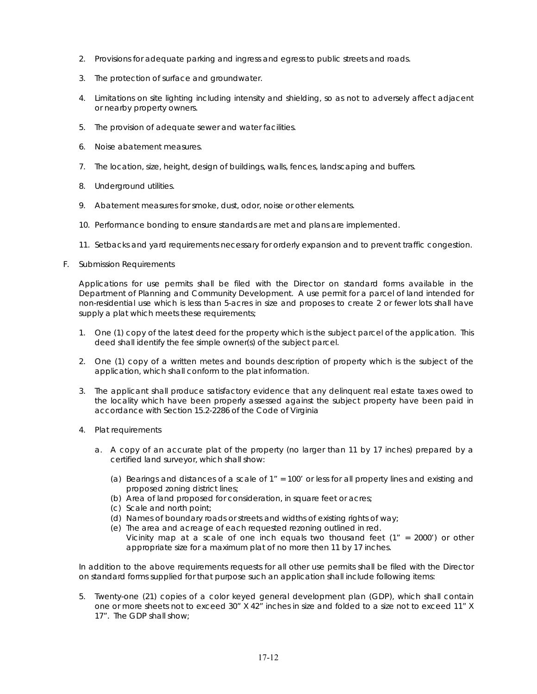- 2. Provisions for adequate parking and ingress and egress to public streets and roads.
- 3. The protection of surface and groundwater.
- 4. Limitations on site lighting including intensity and shielding, so as not to adversely affect adjacent or nearby property owners.
- 5. The provision of adequate sewer and water facilities.
- 6. Noise abatement measures.
- 7. The location, size, height, design of buildings, walls, fences, landscaping and buffers.
- 8. Underground utilities.
- 9. Abatement measures for smoke, dust, odor, noise or other elements.
- 10. Performance bonding to ensure standards are met and plans are implemented.
- 11. Setbacks and yard requirements necessary for orderly expansion and to prevent traffic congestion.
- F. Submission Requirements

Applications for use permits shall be filed with the Director on standard forms available in the Department of Planning and Community Development. A use permit for a parcel of land intended for non-residential use which is less than 5-acres in size and proposes to create 2 or fewer lots shall have supply a plat which meets these requirements;

- 1. One (1) copy of the latest deed for the property which is the subject parcel of the application. This deed shall identify the fee simple owner(s) of the subject parcel.
- 2. One (1) copy of a written metes and bounds description of property which is the subject of the application, which shall conform to the plat information.
- 3. The applicant shall produce satisfactory evidence that any delinquent real estate taxes owed to the locality which have been properly assessed against the subject property have been paid in accordance with Section 15.2-2286 of the Code of Virginia
- 4. Plat requirements
	- a. A copy of an accurate plat of the property (no larger than 11 by 17 inches) prepared by a certified land surveyor, which shall show:
		- (a) Bearings and distances of a scale of 1" = 100' or less for all property lines and existing and proposed zoning district lines;
		- (b) Area of land proposed for consideration, in square feet or acres;
		- (c) Scale and north point;
		- (d) Names of boundary roads or streets and widths of existing rights of way;
		- (e) The area and acreage of each requested rezoning outlined in red. Vicinity map at a scale of one inch equals two thousand feet  $(1'' = 2000')$  or other appropriate size for a maximum plat of no more then 11 by 17 inches.

In addition to the above requirements requests for all other use permits shall be filed with the Director on standard forms supplied for that purpose such an application shall include following items:

5. Twenty-one (21) copies of a color keyed general development plan (GDP), which shall contain one or more sheets not to exceed 30" X 42" inches in size and folded to a size not to exceed 11" X 17". The GDP shall show;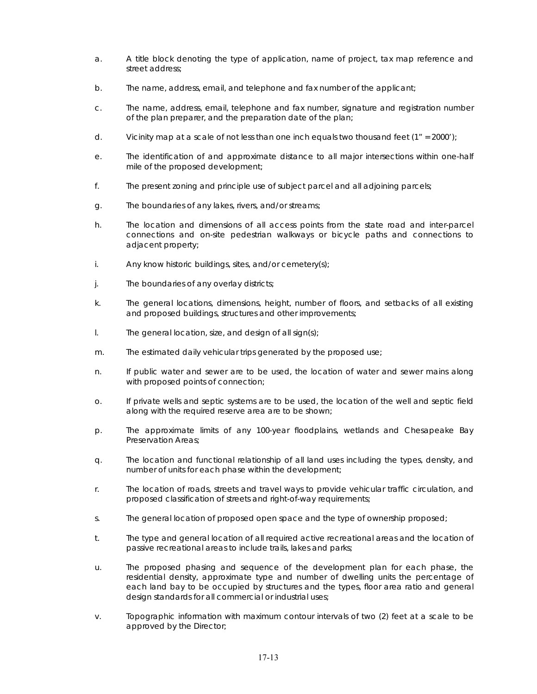- a. A title block denoting the type of application, name of project, tax map reference and street address;
- b. The name, address, email, and telephone and fax number of the applicant;
- c. The name, address, email, telephone and fax number, signature and registration number of the plan preparer, and the preparation date of the plan;
- d. Vicinity map at a scale of not less than one inch equals two thousand feet  $(1'' = 2000')$ ;
- e. The identification of and approximate distance to all major intersections within one-half mile of the proposed development;
- f. The present zoning and principle use of subject parcel and all adjoining parcels;
- g. The boundaries of any lakes, rivers, and/or streams;
- h. The location and dimensions of all access points from the state road and inter-parcel connections and on-site pedestrian walkways or bicycle paths and connections to adjacent property;
- i. Any know historic buildings, sites, and/or cemetery(s);
- j. The boundaries of any overlay districts;
- k. The general locations, dimensions, height, number of floors, and setbacks of all existing and proposed buildings, structures and other improvements;
- l. The general location, size, and design of all sign(s);
- m. The estimated daily vehicular trips generated by the proposed use;
- n. If public water and sewer are to be used, the location of water and sewer mains along with proposed points of connection;
- o. If private wells and septic systems are to be used, the location of the well and septic field along with the required reserve area are to be shown;
- p. The approximate limits of any 100-year floodplains, wetlands and Chesapeake Bay Preservation Areas;
- q. The location and functional relationship of all land uses including the types, density, and number of units for each phase within the development;
- r. The location of roads, streets and travel ways to provide vehicular traffic circulation, and proposed classification of streets and right-of-way requirements;
- s. The general location of proposed open space and the type of ownership proposed;
- t. The type and general location of all required active recreational areas and the location of passive recreational areas to include trails, lakes and parks;
- u. The proposed phasing and sequence of the development plan for each phase, the residential density, approximate type and number of dwelling units the percentage of each land bay to be occupied by structures and the types, floor area ratio and general design standards for all commercial or industrial uses;
- v. Topographic information with maximum contour intervals of two (2) feet at a scale to be approved by the Director;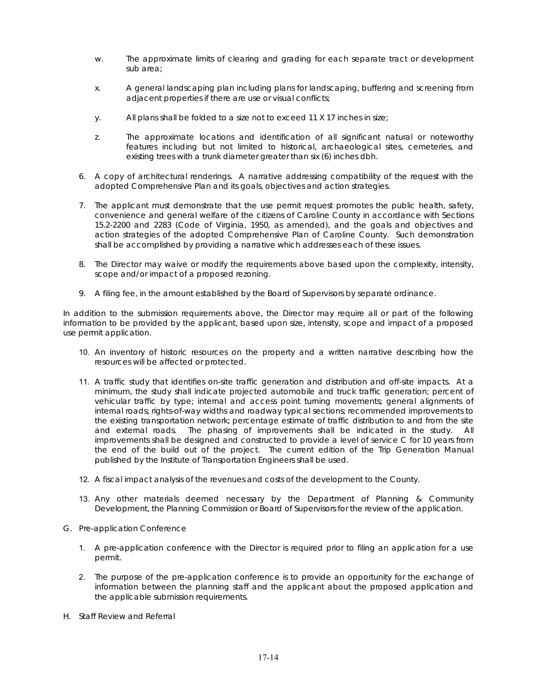- w. The approximate limits of clearing and grading for each separate tract or development sub area;
- x. A general landscaping plan including plans for landscaping, buffering and screening from adjacent properties if there are use or visual conflicts;
- y. All plans shall be folded to a size not to exceed 11 X 17 inches in size;
- z. The approximate locations and identification of all significant natural or noteworthy features including but not limited to historical, archaeological sites, cemeteries, and existing trees with a trunk diameter greater than six (6) inches dbh.
- 6. A copy of architectural renderings. A narrative addressing compatibility of the request with the adopted Comprehensive Plan and its goals, objectives and action strategies.
- 7. The applicant must demonstrate that the use permit request promotes the public health, safety, convenience and general welfare of the citizens of Caroline County in accordance with Sections 15.2-2200 and 2283 (Code of Virginia, 1950, as amended), and the goals and objectives and action strategies of the adopted Comprehensive Plan of Caroline County. Such demonstration shall be accomplished by providing a narrative which addresses each of these issues.
- 8. The Director may waive or modify the requirements above based upon the complexity, intensity, scope and/or impact of a proposed rezoning.
- 9. A filing fee, in the amount established by the Board of Supervisors by separate ordinance.

In addition to the submission requirements above, the Director may require all or part of the following information to be provided by the applicant, based upon size, intensity, scope and impact of a proposed use permit application.

- 10. An inventory of historic resources on the property and a written narrative describing how the resources will be affected or protected.
- 11. A traffic study that identifies on-site traffic generation and distribution and off-site impacts. At a minimum, the study shall indicate projected automobile and truck traffic generation; percent of vehicular traffic by type; internal and access point turning movements; general alignments of internal roads; rights-of-way widths and roadway typical sections; recommended improvements to the existing transportation network; percentage estimate of traffic distribution to and from the site and external roads. The phasing of improvements shall be indicated in the study. All improvements shall be designed and constructed to provide a level of service C for 10 years from the end of the build out of the project. The current edition of the Trip Generation Manual published by the Institute of Transportation Engineers shall be used.
- 12. A fiscal impact analysis of the revenues and costs of the development to the County.
- 13. Any other materials deemed necessary by the Department of Planning & Community Development, the Planning Commission or Board of Supervisors for the review of the application.
- G. Pre-application Conference
	- 1. A pre-application conference with the Director is required prior to filing an application for a use permit.
	- 2. The purpose of the pre-application conference is to provide an opportunity for the exchange of information between the planning staff and the applicant about the proposed application and the applicable submission requirements.
- H. Staff Review and Referral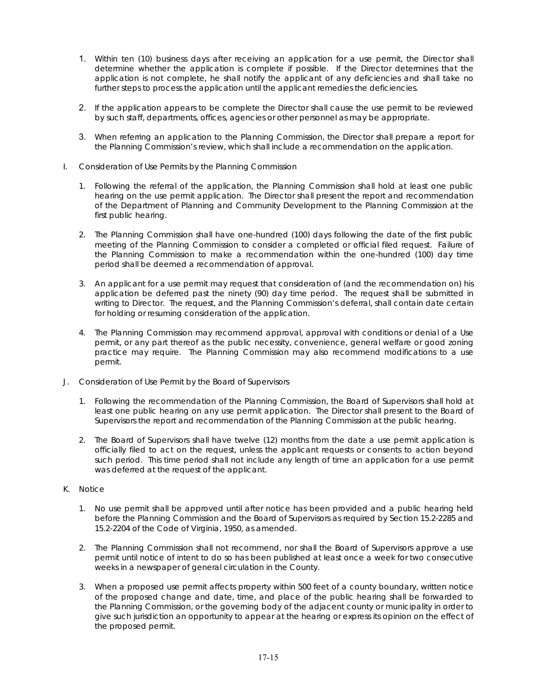- 1. Within ten (10) business days after receiving an application for a use permit, the Director shall determine whether the application is complete if possible. If the Director determines that the application is not complete, he shall notify the applicant of any deficiencies and shall take no further steps to process the application until the applicant remedies the deficiencies.
- 2. If the application appears to be complete the Director shall cause the use permit to be reviewed by such staff, departments, offices, agencies or other personnel as may be appropriate.
- 3. When referring an application to the Planning Commission, the Director shall prepare a report for the Planning Commission's review, which shall include a recommendation on the application.
- I. Consideration of Use Permits by the Planning Commission
	- 1. Following the referral of the application, the Planning Commission shall hold at least one public hearing on the use permit application. The Director shall present the report and recommendation of the Department of Planning and Community Development to the Planning Commission at the first public hearing.
	- 2. The Planning Commission shall have one-hundred (100) days following the date of the first public meeting of the Planning Commission to consider a completed or official filed request. Failure of the Planning Commission to make a recommendation within the one-hundred (100) day time period shall be deemed a recommendation of approval.
	- 3. An applicant for a use permit may request that consideration of (and the recommendation on) his application be deferred past the ninety (90) day time period. The request shall be submitted in writing to Director. The request, and the Planning Commission's deferral, shall contain date certain for holding or resuming consideration of the application.
	- 4. The Planning Commission may recommend approval, approval with conditions or denial of a Use permit, or any part thereof as the public necessity, convenience, general welfare or good zoning practice may require. The Planning Commission may also recommend modifications to a use permit.
- J. Consideration of Use Permit by the Board of Supervisors
	- 1. Following the recommendation of the Planning Commission, the Board of Supervisors shall hold at least one public hearing on any use permit application. The Director shall present to the Board of Supervisors the report and recommendation of the Planning Commission at the public hearing.
	- 2. The Board of Supervisors shall have twelve (12) months from the date a use permit application is officially filed to act on the request, unless the applicant requests or consents to action beyond such period. This time period shall not include any length of time an application for a use permit was deferred at the request of the applicant.
- K. Notice
	- 1. No use permit shall be approved until after notice has been provided and a public hearing held before the Planning Commission and the Board of Supervisors as required by Section 15.2-2285 and 15.2-2204 of the Code of Virginia, 1950, as amended.
	- 2. The Planning Commission shall not recommend, nor shall the Board of Supervisors approve a use permit until notice of intent to do so has been published at least once a week for two consecutive weeks in a newspaper of general circulation in the County.
	- 3. When a proposed use permit affects property within 500 feet of a county boundary, written notice of the proposed change and date, time, and place of the public hearing shall be forwarded to the Planning Commission, or the governing body of the adjacent county or municipality in order to give such jurisdiction an opportunity to appear at the hearing or express its opinion on the effect of the proposed permit.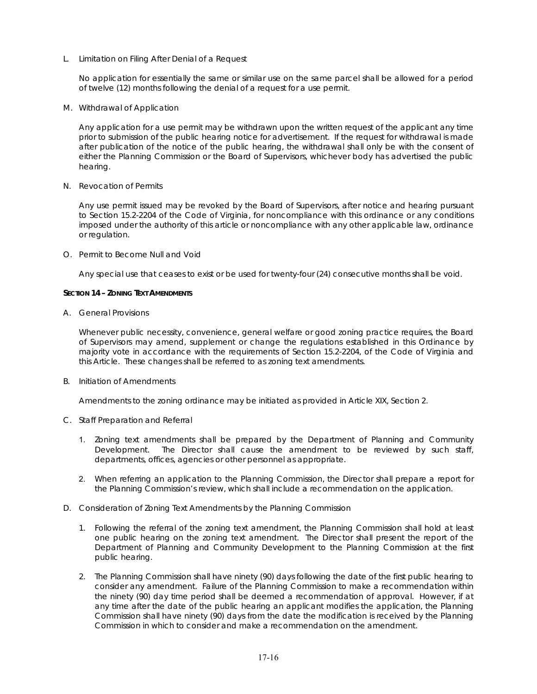L. Limitation on Filing After Denial of a Request

No application for essentially the same or similar use on the same parcel shall be allowed for a period of twelve (12) months following the denial of a request for a use permit.

M. Withdrawal of Application

Any application for a use permit may be withdrawn upon the written request of the applicant any time prior to submission of the public hearing notice for advertisement. If the request for withdrawal is made after publication of the notice of the public hearing, the withdrawal shall only be with the consent of either the Planning Commission or the Board of Supervisors, whichever body has advertised the public hearing.

N. Revocation of Permits

Any use permit issued may be revoked by the Board of Supervisors, after notice and hearing pursuant to Section 15.2-2204 of the Code of Virginia, for noncompliance with this ordinance or any conditions imposed under the authority of this article or noncompliance with any other applicable law, ordinance or regulation.

O. Permit to Become Null and Void

Any special use that ceases to exist or be used for twenty-four (24) consecutive months shall be void.

### **SECTION 14 – ZONING TEXT AMENDMENTS**

A. General Provisions

Whenever public necessity, convenience, general welfare or good zoning practice requires, the Board of Supervisors may amend, supplement or change the regulations established in this Ordinance by majority vote in accordance with the requirements of Section 15.2-2204, of the Code of Virginia and this Article. These changes shall be referred to as zoning text amendments.

B. Initiation of Amendments

Amendments to the zoning ordinance may be initiated as provided in Article XIX, Section 2.

- C. Staff Preparation and Referral
	- 1. Zoning text amendments shall be prepared by the Department of Planning and Community Development. The Director shall cause the amendment to be reviewed by such staff, departments, offices, agencies or other personnel as appropriate.
	- 2. When referring an application to the Planning Commission, the Director shall prepare a report for the Planning Commission's review, which shall include a recommendation on the application.
- D. Consideration of Zoning Text Amendments by the Planning Commission
	- 1. Following the referral of the zoning text amendment, the Planning Commission shall hold at least one public hearing on the zoning text amendment. The Director shall present the report of the Department of Planning and Community Development to the Planning Commission at the first public hearing.
	- 2. The Planning Commission shall have ninety (90) days following the date of the first public hearing to consider any amendment. Failure of the Planning Commission to make a recommendation within the ninety (90) day time period shall be deemed a recommendation of approval. However, if at any time after the date of the public hearing an applicant modifies the application, the Planning Commission shall have ninety (90) days from the date the modification is received by the Planning Commission in which to consider and make a recommendation on the amendment.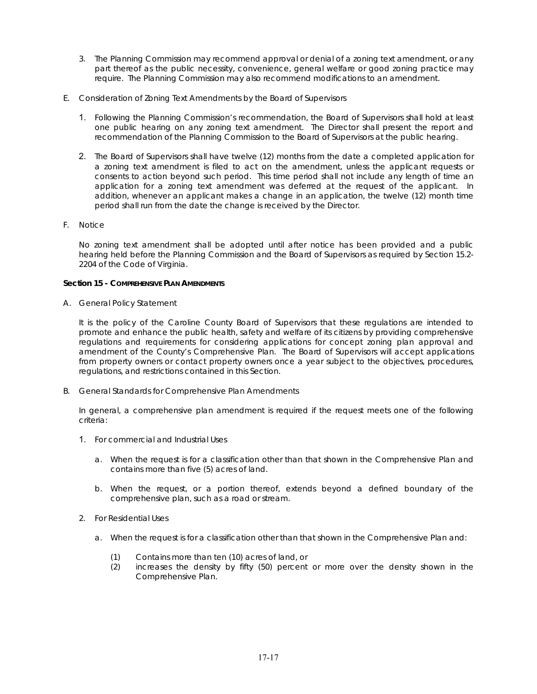- 3. The Planning Commission may recommend approval or denial of a zoning text amendment, or any part thereof as the public necessity, convenience, general welfare or good zoning practice may require. The Planning Commission may also recommend modifications to an amendment.
- E. Consideration of Zoning Text Amendments by the Board of Supervisors
	- 1. Following the Planning Commission's recommendation, the Board of Supervisors shall hold at least one public hearing on any zoning text amendment. The Director shall present the report and recommendation of the Planning Commission to the Board of Supervisors at the public hearing.
	- 2. The Board of Supervisors shall have twelve (12) months from the date a completed application for a zoning text amendment is filed to act on the amendment, unless the applicant requests or consents to action beyond such period. This time period shall not include any length of time an application for a zoning text amendment was deferred at the request of the applicant. In addition, whenever an applicant makes a change in an application, the twelve (12) month time period shall run from the date the change is received by the Director.
- F. Notice

No zoning text amendment shall be adopted until after notice has been provided and a public hearing held before the Planning Commission and the Board of Supervisors as required by Section 15.2- 2204 of the Code of Virginia.

### **Section 15 - COMPREHENSIVE PLAN AMENDMENTS**

A. General Policy Statement

It is the policy of the Caroline County Board of Supervisors that these regulations are intended to promote and enhance the public health, safety and welfare of its citizens by providing comprehensive regulations and requirements for considering applications for concept zoning plan approval and amendment of the County's Comprehensive Plan. The Board of Supervisors will accept applications from property owners or contact property owners once a year subject to the objectives, procedures, regulations, and restrictions contained in this Section.

B. General Standards for Comprehensive Plan Amendments

In general, a comprehensive plan amendment is required if the request meets one of the following criteria:

- 1. For commercial and Industrial Uses
	- a. When the request is for a classification other than that shown in the Comprehensive Plan and contains more than five (5) acres of land.
	- b. When the request, or a portion thereof, extends beyond a defined boundary of the comprehensive plan, such as a road or stream.
- 2. For Residential Uses
	- a. When the request is for a classification other than that shown in the Comprehensive Plan and:
		- (1) Contains more than ten (10) acres of land, or
		- (2) increases the density by fifty (50) percent or more over the density shown in the Comprehensive Plan.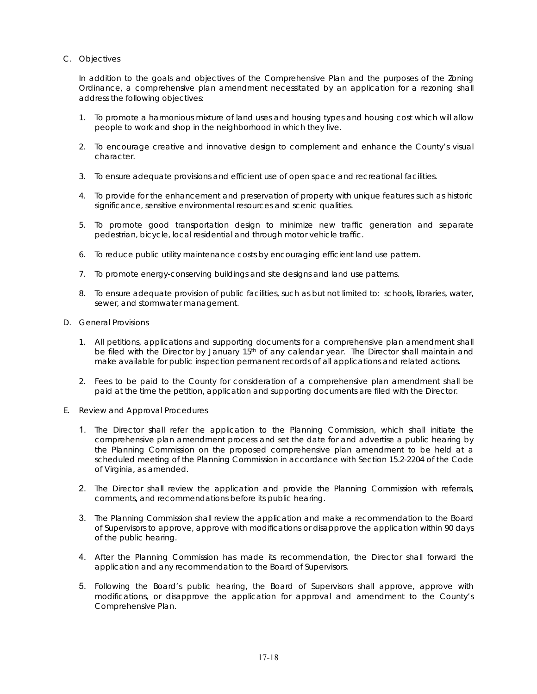# C. Objectives

In addition to the goals and objectives of the Comprehensive Plan and the purposes of the Zoning Ordinance, a comprehensive plan amendment necessitated by an application for a rezoning shall address the following objectives:

- 1. To promote a harmonious mixture of land uses and housing types and housing cost which will allow people to work and shop in the neighborhood in which they live.
- 2. To encourage creative and innovative design to complement and enhance the County's visual character.
- 3. To ensure adequate provisions and efficient use of open space and recreational facilities.
- 4. To provide for the enhancement and preservation of property with unique features such as historic significance, sensitive environmental resources and scenic qualities.
- 5. To promote good transportation design to minimize new traffic generation and separate pedestrian, bicycle, local residential and through motor vehicle traffic.
- 6. To reduce public utility maintenance costs by encouraging efficient land use pattern.
- 7. To promote energy-conserving buildings and site designs and land use patterns.
- 8. To ensure adequate provision of public facilities, such as but not limited to: schools, libraries, water, sewer, and stormwater management.
- D. General Provisions
	- 1. All petitions, applications and supporting documents for a comprehensive plan amendment shall be filed with the Director by January 15<sup>th</sup> of any calendar year. The Director shall maintain and make available for public inspection permanent records of all applications and related actions.
	- 2. Fees to be paid to the County for consideration of a comprehensive plan amendment shall be paid at the time the petition, application and supporting documents are filed with the Director.
- E. Review and Approval Procedures
	- 1. The Director shall refer the application to the Planning Commission, which shall initiate the comprehensive plan amendment process and set the date for and advertise a public hearing by the Planning Commission on the proposed comprehensive plan amendment to be held at a scheduled meeting of the Planning Commission in accordance with Section 15.2-2204 of the Code of Virginia, as amended.
	- 2. The Director shall review the application and provide the Planning Commission with referrals, comments, and recommendations before its public hearing.
	- 3. The Planning Commission shall review the application and make a recommendation to the Board of Supervisors to approve, approve with modifications or disapprove the application within 90 days of the public hearing.
	- 4. After the Planning Commission has made its recommendation, the Director shall forward the application and any recommendation to the Board of Supervisors.
	- 5. Following the Board's public hearing, the Board of Supervisors shall approve, approve with modifications, or disapprove the application for approval and amendment to the County's Comprehensive Plan.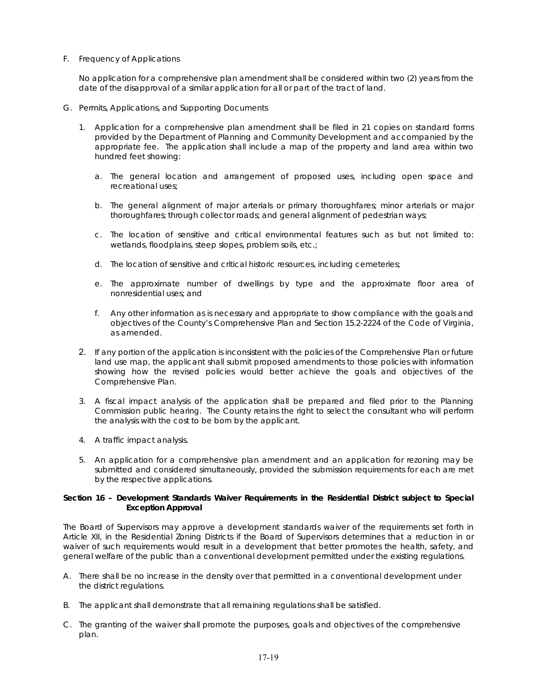## F. Frequency of Applications

No application for a comprehensive plan amendment shall be considered within two (2) years from the date of the disapproval of a similar application for all or part of the tract of land.

- G. Permits, Applications, and Supporting Documents
	- 1. Application for a comprehensive plan amendment shall be filed in 21 copies on standard forms provided by the Department of Planning and Community Development and accompanied by the appropriate fee. The application shall include a map of the property and land area within two hundred feet showing:
		- a. The general location and arrangement of proposed uses, including open space and recreational uses;
		- b. The general alignment of major arterials or primary thoroughfares; minor arterials or major thoroughfares; through collector roads; and general alignment of pedestrian ways;
		- c. The location of sensitive and critical environmental features such as but not limited to: wetlands, floodplains, steep slopes, problem soils, etc.;
		- d. The location of sensitive and critical historic resources, including cemeteries;
		- e. The approximate number of dwellings by type and the approximate floor area of nonresidential uses; and
		- f. Any other information as is necessary and appropriate to show compliance with the goals and objectives of the County's Comprehensive Plan and Section 15.2-2224 of the Code of Virginia, as amended.
	- 2. If any portion of the application is inconsistent with the policies of the Comprehensive Plan or future land use map, the applicant shall submit proposed amendments to those policies with information showing how the revised policies would better achieve the goals and objectives of the Comprehensive Plan.
	- 3. A fiscal impact analysis of the application shall be prepared and filed prior to the Planning Commission public hearing. The County retains the right to select the consultant who will perform the analysis with the cost to be born by the applicant.
	- 4. A traffic impact analysis.
	- 5. An application for a comprehensive plan amendment and an application for rezoning may be submitted and considered simultaneously, provided the submission requirements for each are met by the respective applications.

## **Section 16 – Development Standards Waiver Requirements in the Residential District subject to Special Exception Approval**

The Board of Supervisors may approve a development standards waiver of the requirements set forth in Article XII, in the Residential Zoning Districts if the Board of Supervisors determines that a reduction in or waiver of such requirements would result in a development that better promotes the health, safety, and general welfare of the public than a conventional development permitted under the existing regulations.

- A. There shall be no increase in the density over that permitted in a conventional development under the district regulations.
- B. The applicant shall demonstrate that all remaining regulations shall be satisfied.
- C. The granting of the waiver shall promote the purposes, goals and objectives of the comprehensive plan.